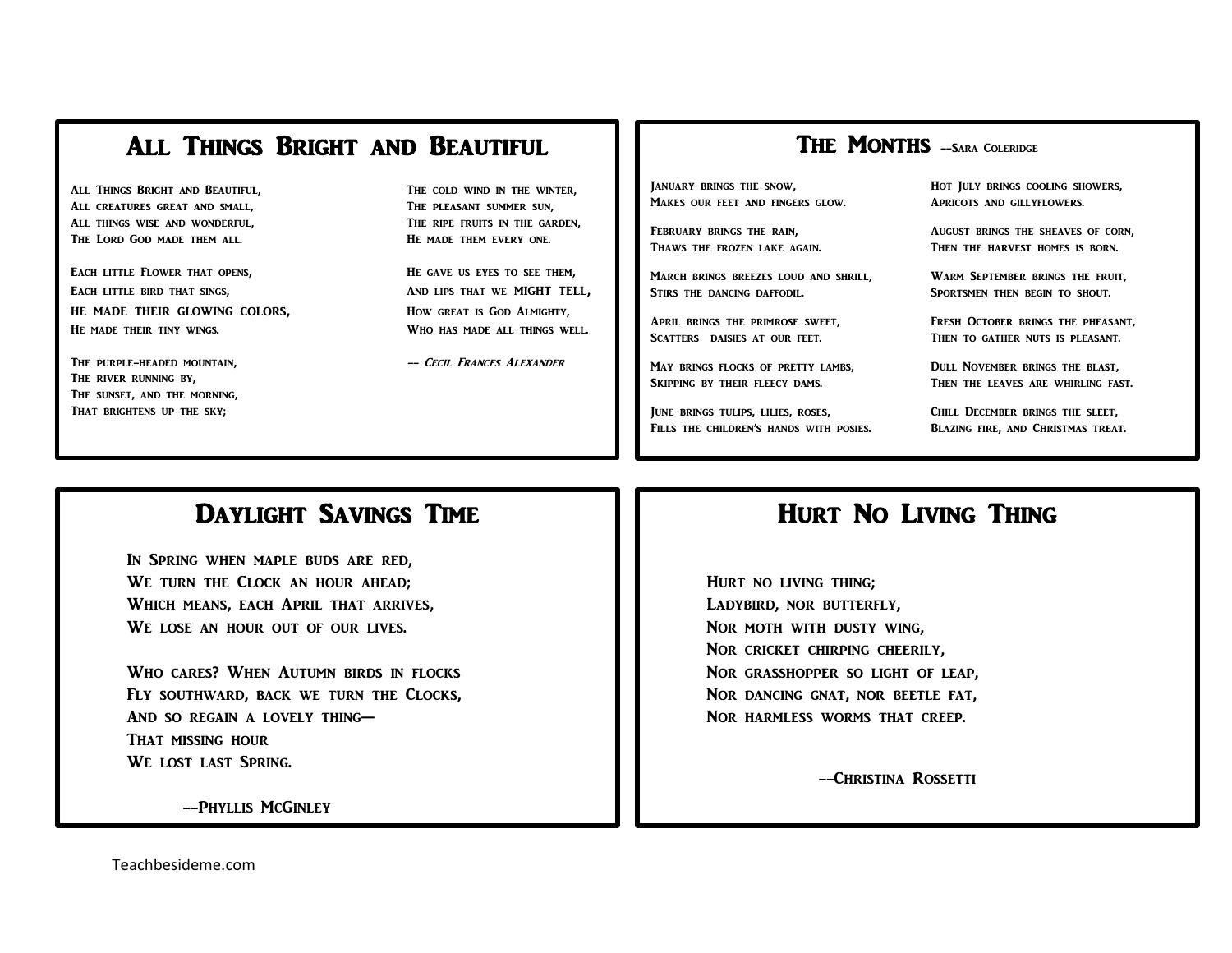# ALL THINGS BRIGHT AND BEAUTIFUL

ALL THINGS BRIGHT AND BEAUTIFUL, THE COLD WIND IN THE WINTER, ALL CREATURES GREAT AND SMALL, THE PLEASANT SUMMER SUN, ALL THINGS WISE AND WONDERFUL, THE RIPE FRUITS IN THE GARDEN, THE LORD GOD MADE THEM ALL. HE MADE THEM EVERY ONE.

EACH LITTLE FLOWER THAT OPENS, HE GAVE US EYES TO SEE THEM, EACH LITTLE BIRD THAT SINGS, AND LIPS THAT WE MIGHT TELL, HE MADE THEIR GLOWING COLORS, How great is God Almighty, He made their tiny wings. Who has made all things well.

The river running by, The sunset, and the morning, THAT BRIGHTENS UP THE SKY;

THE PURPLE-HEADED MOUNTAIN,  $-$  Cecil Frances Alexander

## THE MONTHS --SARA COLERIDGE

Makes our feet and fingers glow. Apricots and gillyflowers.

March brings breezes loud and shrill, Warm September brings the fruit, Stirs the dancing daffodil. Sportsmen then begin to shout.

APRIL BRINGS THE PRIMROSE SWEET, FRESH OCTOBER BRINGS THE PHEASANT. SCATTERS DAISIES AT OUR FEET. THEN TO GATHER NUTS IS PLEASANT.

May brings flocks of pretty lambs, Dull November brings the blast, SKIPPING BY THEIR FLEECY DAMS. THEN THE LEAVES ARE WHIRLING FAST.

June brings tulips, lilies, roses, Chill December brings the sleet, FILLS THE CHILDREN'S HANDS WITH POSIES. BLAZING FIRE, AND CHRISTMAS TREAT.

JANUARY BRINGS THE SNOW, HOT JULY BRINGS COOLING SHOWERS,

FEBRUARY BRINGS THE RAIN. THE RAIN AUGUST BRINGS THE SHEAVES OF CORN, Thaws the frozen lake again. Then the harvest homes is born.

# Daylight Savings Time

In Spring when maple buds are red, WE TURN THE CLOCK AN HOUR AHEAD; Which means, each April that arrives, WE LOSE AN HOUR OUT OF OUR LIVES.

Who cares? When Autumn birds in flocks Fly southward, back we turn the Clocks, AND SO REGAIN A LOVELY THING-That missing hour We lost last Spring.

--Phyllis McGinley

### Hurt No Living Thing

Hurt no living thing; Ladybird, nor butterfly, Nor moth with dusty wing, Nor cricket chirping cheerily, Nor grasshopper so light of leap, Nor dancing gnat, nor beetle fat, NOR HARMLESS WORMS THAT CREEP.

--Christina Rossetti

Teachbesideme.com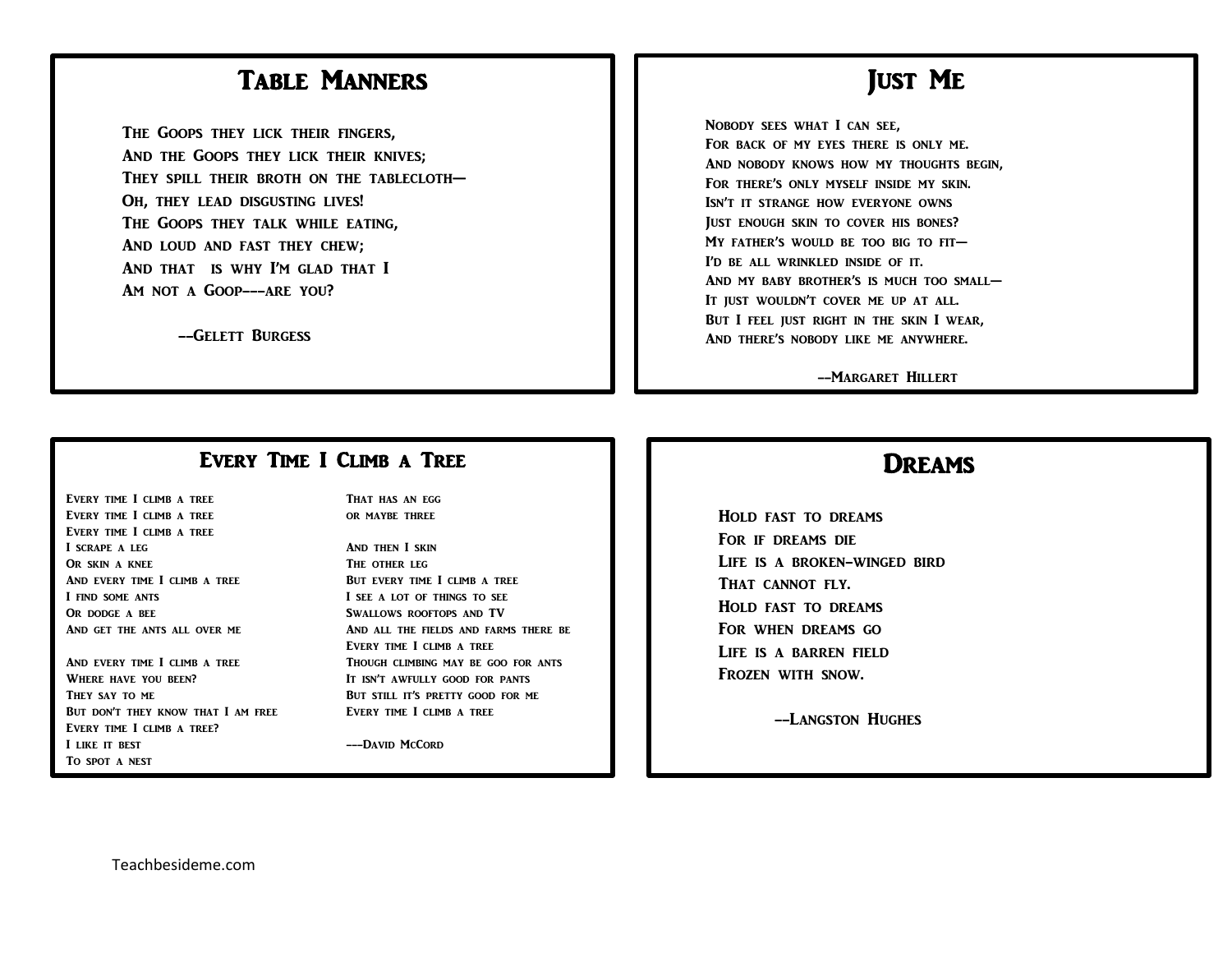### Table Manners

The Goops they lick their fingers, And the Goops they lick their knives; THEY SPILL THEIR BROTH ON THE TABLECLOTH-OH, THEY LEAD DISGUSTING LIVES! The Goops they talk while eating, AND LOUD AND FAST THEY CHEW; And that is why I'm glad that I Am not a Goop---are you?

--Gelett Burgess

# **JUST ME**

Nobody sees what I can see, For back of my eyes there is only me. And nobody knows how my thoughts begin, For there's only myself inside my skin. Isn't it strange how everyone owns Just enough skin to cover his bones? MY FATHER'S WOULD BE TOO BIG TO FIT-I'd be all wrinkled inside of it. And my baby brother's is much too small— IT JUST WOULDN'T COVER ME UP AT ALL. BUT I FEEL JUST RIGHT IN THE SKIN I WEAR, And there's nobody like me anywhere.

--Margaret Hillert

### EVERY TIME I CLIMB A TREE

EVERY TIME I CLIMB A TREE THAT HAS AN EGG EVERY TIME I CLIMB A TREE OR MAYBE THREE EVERY TIME I CLIMB A TREE. I SCRAPE A LEG AND THEN I SKIN OR SKIN A KNEE THE OTHER LEG AND EVERY TIME I CLIMB A TREE BUT EVERY TIME I CLIMB A TREE I find some ants I see a lot of things to see OR DODGE A BEE SWALLOWS ROOFTOPS AND TV

WHERE HAVE YOU BEEN? IT ISN'T AWFULLY GOOD FOR PANTS THEY SAY TO ME **BUT STILL IT'S PRETTY GOOD FOR ME** BUT DON'T THEY KNOW THAT I AM FREE EVERY TIME I CLIMB A TREE Every time I climb a tree? I LIKE IT BEST ---DAVID MCCORD To spot a nest

AND GET THE ANTS ALL OVER ME AND ALL THE FIELDS AND FARMS THERE BE EVERY TIME I CLIMB A TREE And every time I climb a tree Though climbing may be goo for ants

## **DREAMS**

Hold fast to dreams For if dreams die Life is a broken-winged bird THAT CANNOT FLY. Hold fast to dreams For when dreams go Life is a barren field Frozen with snow.

--Langston Hughes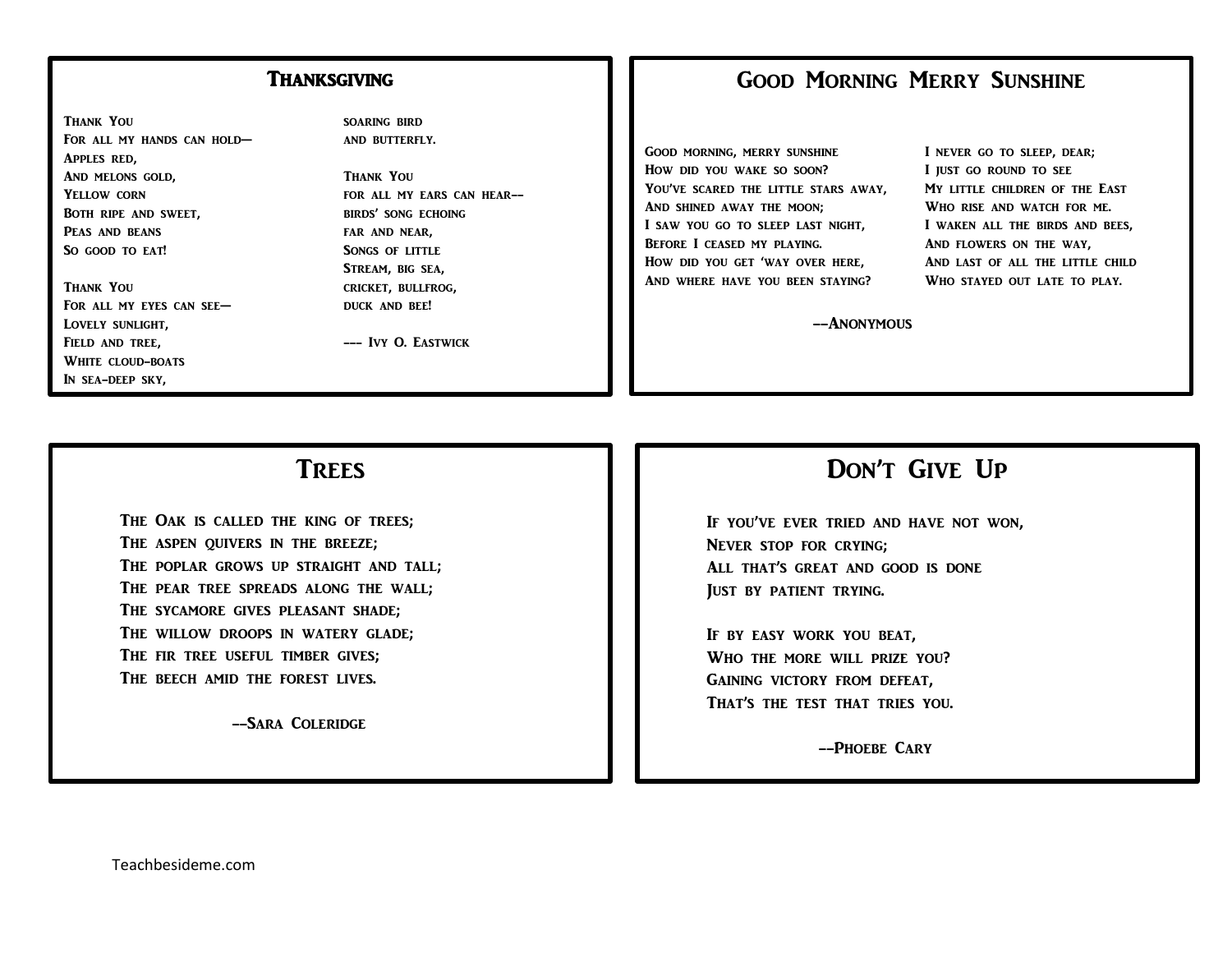#### **THANKSGIVING**

THANK YOU SOARING BIRD FOR ALL MY HANDS CAN HOLD- AND BUTTERFLY. Apples red, AND MELONS GOLD, THANK YOU YELLOW CORN FOR ALL MY EARS CAN HEAR--BOTH RIPE AND SWEET, BIRDS' SONG ECHOING PEAS AND BEANS FAR AND NEAR, So good to eat! Songs of little

THANK YOU CRICKET, BULLFROG, FOR ALL MY EYES CAN SEE— DUCK AND BEE! Lovely sunlight, FIELD AND TREE, --- IVY O. EASTWICK WHITE CLOUD-BOATS In sea-deep sky,

Stream, big sea,

### Good Morning Merry Sunshine

GOOD MORNING, MERRY SUNSHINE I NEVER GO TO SLEEP, DEAR; How did you wake so soon? I just go round to see YOU'VE SCARED THE LITTLE STARS AWAY, MY LITTLE CHILDREN OF THE EAST And shined away the moon; Who rise and watch for me. I SAW YOU GO TO SLEEP LAST NIGHT. I WAKEN ALL THE BIRDS AND BEES. BEFORE I CEASED MY PLAYING. AND FLOWERS ON THE WAY, How did you get 'way over here, And last of all the little child And where have you been staying? Who stayed out late to play.

-- ANONYMOUS

### **TREES**

THE OAK IS CALLED THE KING OF TREES; THE ASPEN QUIVERS IN THE BREEZE; THE POPLAR GROWS UP STRAIGHT AND TALL; THE PEAR TREE SPREADS ALONG THE WALL; The sycamore gives pleasant shade; THE WILLOW DROOPS IN WATERY GLADE; THE FIR TREE USEFUL TIMBER GIVES; THE BEECH AMID THE FOREST LIVES.

--Sara Coleridge

# Don't Give Up

If you've ever tried and have not won, Never stop for crying; All that's great and good is done Just by patient trying.

If by easy work you beat, WHO THE MORE WILL PRIZE YOU? Gaining victory from defeat, THAT'S THE TEST THAT TRIES YOU.

-- PHOEBE CARY